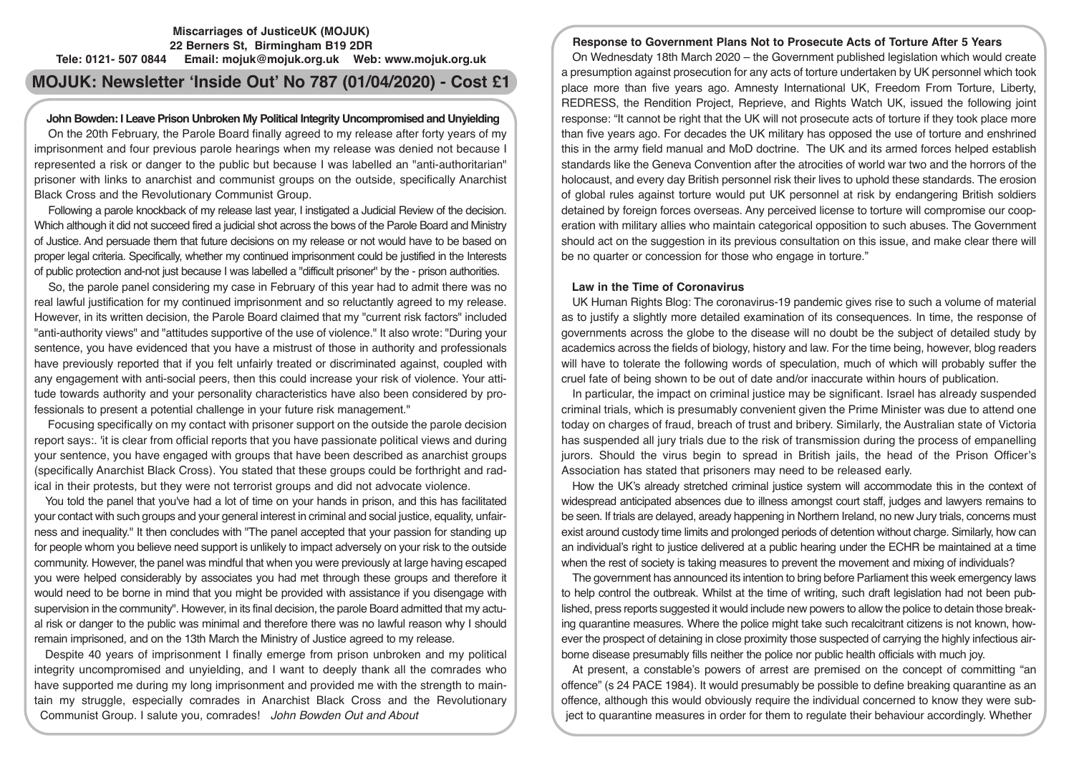# **Miscarriages of JusticeUK (MOJUK) 22 Berners St, Birmingham B19 2DR Tele: 0121- 507 0844 Email: mojuk@mojuk.org.uk Web: www.mojuk.org.uk**

# **MOJUK: Newsletter 'Inside Out' No 787 (01/04/2020) - Cost £1**

# **John Bowden: I Leave Prison Unbroken My Political Integrity Uncompromised and Unyielding**

 On the 20th February, the Parole Board finally agreed to my release after forty years of my imprisonment and four previous parole hearings when my release was denied not because I represented a risk or danger to the public but because I was labelled an "anti-authoritarian" prisoner with links to anarchist and communist groups on the outside, specifically Anarchist Black Cross and the Revolutionary Communist Group.

 Following a parole knockback of my release last year, I instigated a Judicial Review of the decision. Which although it did not succeed fired a judicial shot across the bows of the Parole Board and Ministry of Justice. And persuade them that future decisions on my release or not would have to be based on proper legal criteria. Specifically, whether my continued imprisonment could be justified in the Interests of public protection and-not just because I was labelled a "difficult prisoner" by the - prison authorities.

 So, the parole panel considering my case in February of this year had to admit there was no real lawful justification for my continued imprisonment and so reluctantly agreed to my release. However, in its written decision, the Parole Board claimed that my "current risk factors" included "anti-authority views" and "attitudes supportive of the use of violence." It also wrote: "During your sentence, you have evidenced that you have a mistrust of those in authority and professionals have previously reported that if you felt unfairly treated or discriminated against, coupled with any engagement with anti-social peers, then this could increase your risk of violence. Your attitude towards authority and your personality characteristics have also been considered by professionals to present a potential challenge in your future risk management."

 Focusing specifically on my contact with prisoner support on the outside the parole decision report says:. 'it is clear from official reports that you have passionate political views and during your sentence, you have engaged with groups that have been described as anarchist groups (specifically Anarchist Black Cross). You stated that these groups could be forthright and radical in their protests, but they were not terrorist groups and did not advocate violence.

You told the panel that you've had a lot of time on your hands in prison, and this has facilitated your contact with such groups and your general interest in criminal and social justice, equality, unfairness and inequality." It then concludes with "The panel accepted that your passion for standing up for people whom you believe need support is unlikely to impact adversely on your risk to the outside community. However, the panel was mindful that when you were previously at large having escaped you were helped considerably by associates you had met through these groups and therefore it would need to be borne in mind that you might be provided with assistance if you disengage with supervision in the community". However, in its final decision, the parole Board admitted that my actual risk or danger to the public was minimal and therefore there was no lawful reason why I should remain imprisoned, and on the 13th March the Ministry of Justice agreed to my release.

Despite 40 years of imprisonment I finally emerge from prison unbroken and my political integrity uncompromised and unyielding, and I want to deeply thank all the comrades who have supported me during my long imprisonment and provided me with the strength to maintain my struggle, especially comrades in Anarchist Black Cross and the Revolutionary Communist Group. I salute you, comrades! *John Bowden Out and About* 

## **Response to Government Plans Not to Prosecute Acts of Torture After 5 Years**

On Wednesdaty 18th March 2020 – the Government published legislation which would create a presumption against prosecution for any acts of torture undertaken by UK personnel which took place more than five years ago. Amnesty International UK, Freedom From Torture, Liberty, REDRESS, the Rendition Project, Reprieve, and Rights Watch UK, issued the following joint response: "It cannot be right that the UK will not prosecute acts of torture if they took place more than five years ago. For decades the UK military has opposed the use of torture and enshrined this in the army field manual and MoD doctrine. The UK and its armed forces helped establish standards like the Geneva Convention after the atrocities of world war two and the horrors of the holocaust, and every day British personnel risk their lives to uphold these standards. The erosion of global rules against torture would put UK personnel at risk by endangering British soldiers detained by foreign forces overseas. Any perceived license to torture will compromise our cooperation with military allies who maintain categorical opposition to such abuses. The Government should act on the suggestion in its previous consultation on this issue, and make clear there will be no quarter or concession for those who engage in torture."

#### **Law in the Time of Coronavirus**

UK Human Rights Blog: The coronavirus-19 pandemic gives rise to such a volume of material as to justify a slightly more detailed examination of its consequences. In time, the response of governments across the globe to the disease will no doubt be the subject of detailed study by academics across the fields of biology, history and law. For the time being, however, blog readers will have to tolerate the following words of speculation, much of which will probably suffer the cruel fate of being shown to be out of date and/or inaccurate within hours of publication.

In particular, the impact on criminal justice may be significant. Israel has already suspended criminal trials, which is presumably convenient given the Prime Minister was due to attend one today on charges of fraud, breach of trust and bribery. Similarly, the Australian state of Victoria has suspended all jury trials due to the risk of transmission during the process of empanelling jurors. Should the virus begin to spread in British jails, the head of the Prison Officer's Association has stated that prisoners may need to be released early.

How the UK's already stretched criminal justice system will accommodate this in the context of widespread anticipated absences due to illness amongst court staff, judges and lawyers remains to be seen. If trials are delayed, aready happening in Northern Ireland, no new Jury trials, concerns must exist around custody time limits and prolonged periods of detention without charge. Similarly, how can an individual's right to justice delivered at a public hearing under the ECHR be maintained at a time when the rest of society is taking measures to prevent the movement and mixing of individuals?

The government has announced its intention to bring before Parliament this week emergency laws to help control the outbreak. Whilst at the time of writing, such draft legislation had not been published, press reports suggested it would include new powers to allow the police to detain those breaking quarantine measures. Where the police might take such recalcitrant citizens is not known, however the prospect of detaining in close proximity those suspected of carrying the highly infectious airborne disease presumably fills neither the police nor public health officials with much joy.

At present, a constable's powers of arrest are premised on the concept of committing "an offence" (s 24 PACE 1984). It would presumably be possible to define breaking quarantine as an offence, although this would obviously require the individual concerned to know they were subject to quarantine measures in order for them to regulate their behaviour accordingly. Whether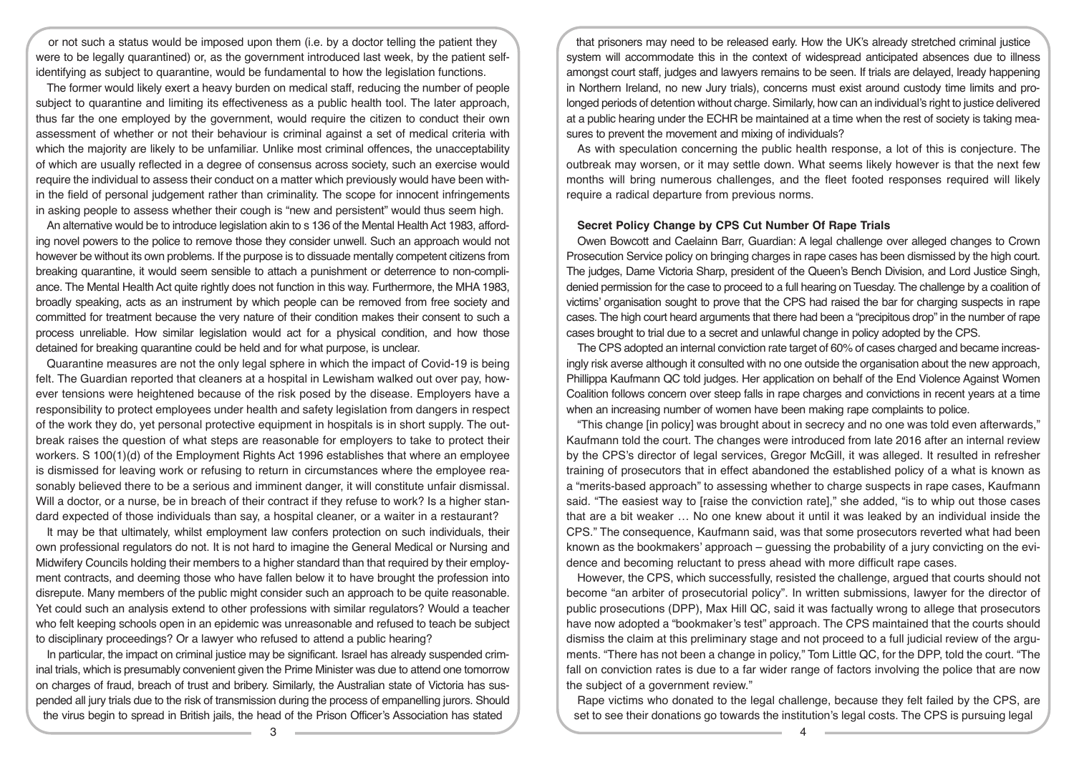or not such a status would be imposed upon them (i.e. by a doctor telling the patient they were to be legally quarantined) or, as the government introduced last week, by the patient selfidentifying as subject to quarantine, would be fundamental to how the legislation functions.

The former would likely exert a heavy burden on medical staff, reducing the number of people subject to quarantine and limiting its effectiveness as a public health tool. The later approach, thus far the one employed by the government, would require the citizen to conduct their own assessment of whether or not their behaviour is criminal against a set of medical criteria with which the majority are likely to be unfamiliar. Unlike most criminal offences, the unacceptability of which are usually reflected in a degree of consensus across society, such an exercise would require the individual to assess their conduct on a matter which previously would have been within the field of personal judgement rather than criminality. The scope for innocent infringements in asking people to assess whether their cough is "new and persistent" would thus seem high.

An alternative would be to introduce legislation akin to s 136 of the Mental Health Act 1983, affording novel powers to the police to remove those they consider unwell. Such an approach would not however be without its own problems. If the purpose is to dissuade mentally competent citizens from breaking quarantine, it would seem sensible to attach a punishment or deterrence to non-compliance. The Mental Health Act quite rightly does not function in this way. Furthermore, the MHA 1983, broadly speaking, acts as an instrument by which people can be removed from free society and committed for treatment because the very nature of their condition makes their consent to such a process unreliable. How similar legislation would act for a physical condition, and how those detained for breaking quarantine could be held and for what purpose, is unclear.

Quarantine measures are not the only legal sphere in which the impact of Covid-19 is being felt. The Guardian reported that cleaners at a hospital in Lewisham walked out over pay, however tensions were heightened because of the risk posed by the disease. Employers have a responsibility to protect employees under health and safety legislation from dangers in respect of the work they do, yet personal protective equipment in hospitals is in short supply. The outbreak raises the question of what steps are reasonable for employers to take to protect their workers. S 100(1)(d) of the Employment Rights Act 1996 establishes that where an employee is dismissed for leaving work or refusing to return in circumstances where the employee reasonably believed there to be a serious and imminent danger, it will constitute unfair dismissal. Will a doctor, or a nurse, be in breach of their contract if they refuse to work? Is a higher standard expected of those individuals than say, a hospital cleaner, or a waiter in a restaurant?

It may be that ultimately, whilst employment law confers protection on such individuals, their own professional regulators do not. It is not hard to imagine the General Medical or Nursing and Midwifery Councils holding their members to a higher standard than that required by their employment contracts, and deeming those who have fallen below it to have brought the profession into disrepute. Many members of the public might consider such an approach to be quite reasonable. Yet could such an analysis extend to other professions with similar regulators? Would a teacher who felt keeping schools open in an epidemic was unreasonable and refused to teach be subject to disciplinary proceedings? Or a lawyer who refused to attend a public hearing?

In particular, the impact on criminal justice may be significant. Israel has already suspended criminal trials, which is presumably convenient given the Prime Minister was due to attend one tomorrow on charges of fraud, breach of trust and bribery. Similarly, the Australian state of Victoria has suspended all jury trials due to the risk of transmission during the process of empanelling jurors. Should the virus begin to spread in British jails, the head of the Prison Officer's Association has stated

that prisoners may need to be released early. How the UK's already stretched criminal justice system will accommodate this in the context of widespread anticipated absences due to illness amongst court staff, judges and lawyers remains to be seen. If trials are delayed, lready happening in Northern Ireland, no new Jury trials), concerns must exist around custody time limits and prolonged periods of detention without charge. Similarly, how can an individual's right to justice delivered at a public hearing under the ECHR be maintained at a time when the rest of society is taking measures to prevent the movement and mixing of individuals?

As with speculation concerning the public health response, a lot of this is conjecture. The outbreak may worsen, or it may settle down. What seems likely however is that the next few months will bring numerous challenges, and the fleet footed responses required will likely require a radical departure from previous norms.

## **Secret Policy Change by CPS Cut Number Of Rape Trials**

Owen Bowcott and Caelainn Barr, Guardian: A legal challenge over alleged changes to Crown Prosecution Service policy on bringing charges in rape cases has been dismissed by the high court. The judges, Dame Victoria Sharp, president of the Queen's Bench Division, and Lord Justice Singh, denied permission for the case to proceed to a full hearing on Tuesday. The challenge by a coalition of victims' organisation sought to prove that the CPS had raised the bar for charging suspects in rape cases. The high court heard arguments that there had been a "precipitous drop" in the number of rape cases brought to trial due to a secret and unlawful change in policy adopted by the CPS.

The CPS adopted an internal conviction rate target of 60% of cases charged and became increasingly risk averse although it consulted with no one outside the organisation about the new approach, Phillippa Kaufmann QC told judges. Her application on behalf of the End Violence Against Women Coalition follows concern over steep falls in rape charges and convictions in recent years at a time when an increasing number of women have been making rape complaints to police.

"This change [in policy] was brought about in secrecy and no one was told even afterwards," Kaufmann told the court. The changes were introduced from late 2016 after an internal review by the CPS's director of legal services, Gregor McGill, it was alleged. It resulted in refresher training of prosecutors that in effect abandoned the established policy of a what is known as a "merits-based approach" to assessing whether to charge suspects in rape cases, Kaufmann said. "The easiest way to [raise the conviction rate]," she added, "is to whip out those cases that are a bit weaker … No one knew about it until it was leaked by an individual inside the CPS." The consequence, Kaufmann said, was that some prosecutors reverted what had been known as the bookmakers' approach – guessing the probability of a jury convicting on the evidence and becoming reluctant to press ahead with more difficult rape cases.

However, the CPS, which successfully, resisted the challenge, argued that courts should not become "an arbiter of prosecutorial policy". In written submissions, lawyer for the director of public prosecutions (DPP), Max Hill QC, said it was factually wrong to allege that prosecutors have now adopted a "bookmaker's test" approach. The CPS maintained that the courts should dismiss the claim at this preliminary stage and not proceed to a full judicial review of the arguments. "There has not been a change in policy," Tom Little QC, for the DPP, told the court. "The fall on conviction rates is due to a far wider range of factors involving the police that are now the subject of a government review."

Rape victims who donated to the legal challenge, because they felt failed by the CPS, are set to see their donations go towards the institution's legal costs. The CPS is pursuing legal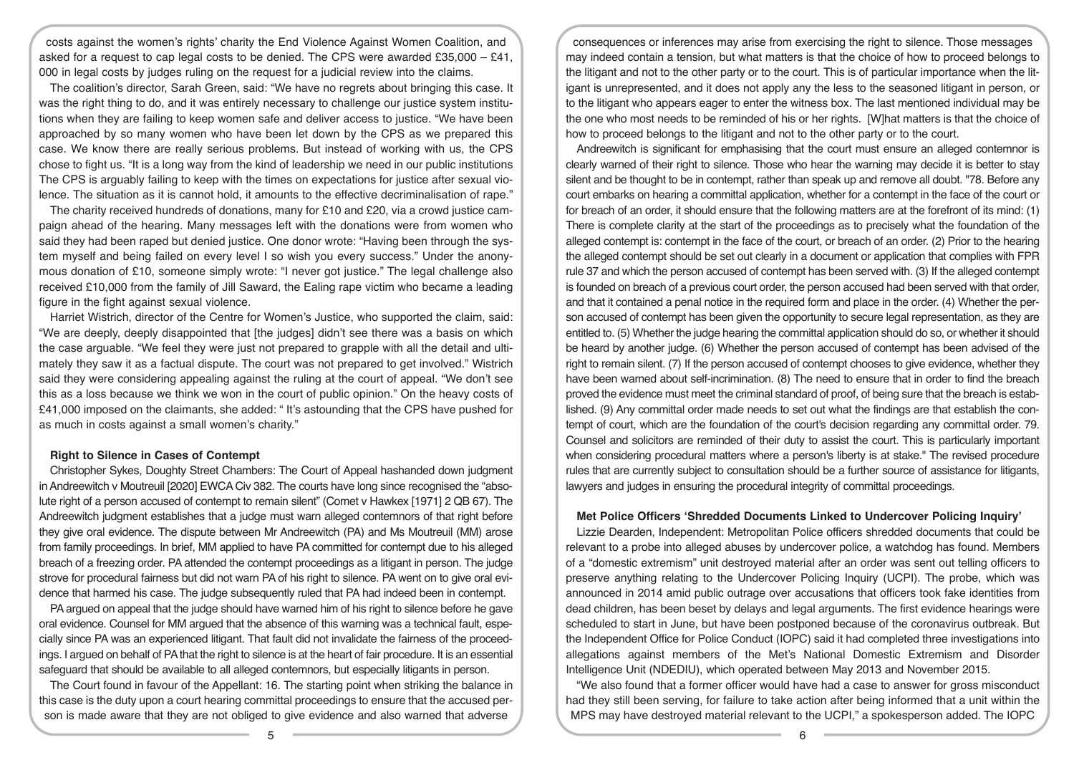costs against the women's rights' charity the End Violence Against Women Coalition, and asked for a request to cap legal costs to be denied. The CPS were awarded £35,000 –  $£41$ , 000 in legal costs by judges ruling on the request for a judicial review into the claims.

The coalition's director, Sarah Green, said: "We have no regrets about bringing this case. It was the right thing to do, and it was entirely necessary to challenge our justice system institutions when they are failing to keep women safe and deliver access to justice. "We have been approached by so many women who have been let down by the CPS as we prepared this case. We know there are really serious problems. But instead of working with us, the CPS chose to fight us. "It is a long way from the kind of leadership we need in our public institutions The CPS is arguably failing to keep with the times on expectations for justice after sexual violence. The situation as it is cannot hold, it amounts to the effective decriminalisation of rape."

The charity received hundreds of donations, many for £10 and £20, via a crowd justice campaign ahead of the hearing. Many messages left with the donations were from women who said they had been raped but denied justice. One donor wrote: "Having been through the system myself and being failed on every level I so wish you every success." Under the anonymous donation of £10, someone simply wrote: "I never got justice." The legal challenge also received £10,000 from the family of Jill Saward, the Ealing rape victim who became a leading figure in the fight against sexual violence.

Harriet Wistrich, director of the Centre for Women's Justice, who supported the claim, said: "We are deeply, deeply disappointed that [the judges] didn't see there was a basis on which the case arguable. "We feel they were just not prepared to grapple with all the detail and ultimately they saw it as a factual dispute. The court was not prepared to get involved." Wistrich said they were considering appealing against the ruling at the court of appeal. "We don't see this as a loss because we think we won in the court of public opinion." On the heavy costs of £41,000 imposed on the claimants, she added: " It's astounding that the CPS have pushed for as much in costs against a small women's charity."

## **Right to Silence in Cases of Contempt**

Christopher Sykes, Doughty Street Chambers: The Court of Appeal hashanded down judgment in Andreewitch v Moutreuil [2020] EWCA Civ 382. The courts have long since recognised the "absolute right of a person accused of contempt to remain silent" (Comet v Hawkex [1971] 2 QB 67). The Andreewitch judgment establishes that a judge must warn alleged contemnors of that right before they give oral evidence. The dispute between Mr Andreewitch (PA) and Ms Moutreuil (MM) arose from family proceedings. In brief, MM applied to have PA committed for contempt due to his alleged breach of a freezing order. PA attended the contempt proceedings as a litigant in person. The judge strove for procedural fairness but did not warn PA of his right to silence. PA went on to give oral evidence that harmed his case. The judge subsequently ruled that PA had indeed been in contempt.

PA argued on appeal that the judge should have warned him of his right to silence before he gave oral evidence. Counsel for MM argued that the absence of this warning was a technical fault, especially since PA was an experienced litigant. That fault did not invalidate the fairness of the proceedings. I argued on behalf of PA that the right to silence is at the heart of fair procedure. It is an essential safeguard that should be available to all alleged contemnors, but especially litigants in person.

The Court found in favour of the Appellant: 16. The starting point when striking the balance in this case is the duty upon a court hearing committal proceedings to ensure that the accused person is made aware that they are not obliged to give evidence and also warned that adverse

consequences or inferences may arise from exercising the right to silence. Those messages may indeed contain a tension, but what matters is that the choice of how to proceed belongs to the litigant and not to the other party or to the court. This is of particular importance when the litigant is unrepresented, and it does not apply any the less to the seasoned litigant in person, or to the litigant who appears eager to enter the witness box. The last mentioned individual may be the one who most needs to be reminded of his or her rights. [W]hat matters is that the choice of how to proceed belongs to the litigant and not to the other party or to the court.

Andreewitch is significant for emphasising that the court must ensure an alleged contemnor is clearly warned of their right to silence. Those who hear the warning may decide it is better to stay silent and be thought to be in contempt, rather than speak up and remove all doubt. "78. Before any court embarks on hearing a committal application, whether for a contempt in the face of the court or for breach of an order, it should ensure that the following matters are at the forefront of its mind: (1) There is complete clarity at the start of the proceedings as to precisely what the foundation of the alleged contempt is: contempt in the face of the court, or breach of an order. (2) Prior to the hearing the alleged contempt should be set out clearly in a document or application that complies with FPR rule 37 and which the person accused of contempt has been served with. (3) If the alleged contempt is founded on breach of a previous court order, the person accused had been served with that order, and that it contained a penal notice in the required form and place in the order. (4) Whether the person accused of contempt has been given the opportunity to secure legal representation, as they are entitled to. (5) Whether the judge hearing the committal application should do so, or whether it should be heard by another judge. (6) Whether the person accused of contempt has been advised of the right to remain silent. (7) If the person accused of contempt chooses to give evidence, whether they have been warned about self-incrimination. (8) The need to ensure that in order to find the breach proved the evidence must meet the criminal standard of proof, of being sure that the breach is established. (9) Any committal order made needs to set out what the findings are that establish the contempt of court, which are the foundation of the court's decision regarding any committal order. 79. Counsel and solicitors are reminded of their duty to assist the court. This is particularly important when considering procedural matters where a person's liberty is at stake." The revised procedure rules that are currently subject to consultation should be a further source of assistance for litigants, lawyers and judges in ensuring the procedural integrity of committal proceedings.

## **Met Police Officers 'Shredded Documents Linked to Undercover Policing Inquiry'**

Lizzie Dearden, Independent: Metropolitan Police officers shredded documents that could be relevant to a probe into alleged abuses by undercover police, a watchdog has found. Members of a "domestic extremism" unit destroyed material after an order was sent out telling officers to preserve anything relating to the Undercover Policing Inquiry (UCPI). The probe, which was announced in 2014 amid public outrage over accusations that officers took fake identities from dead children, has been beset by delays and legal arguments. The first evidence hearings were scheduled to start in June, but have been postponed because of the coronavirus outbreak. But the Independent Office for Police Conduct (IOPC) said it had completed three investigations into allegations against members of the Met's National Domestic Extremism and Disorder Intelligence Unit (NDEDIU), which operated between May 2013 and November 2015.

"We also found that a former officer would have had a case to answer for gross misconduct had they still been serving, for failure to take action after being informed that a unit within the MPS may have destroyed material relevant to the UCPI," a spokesperson added. The IOPC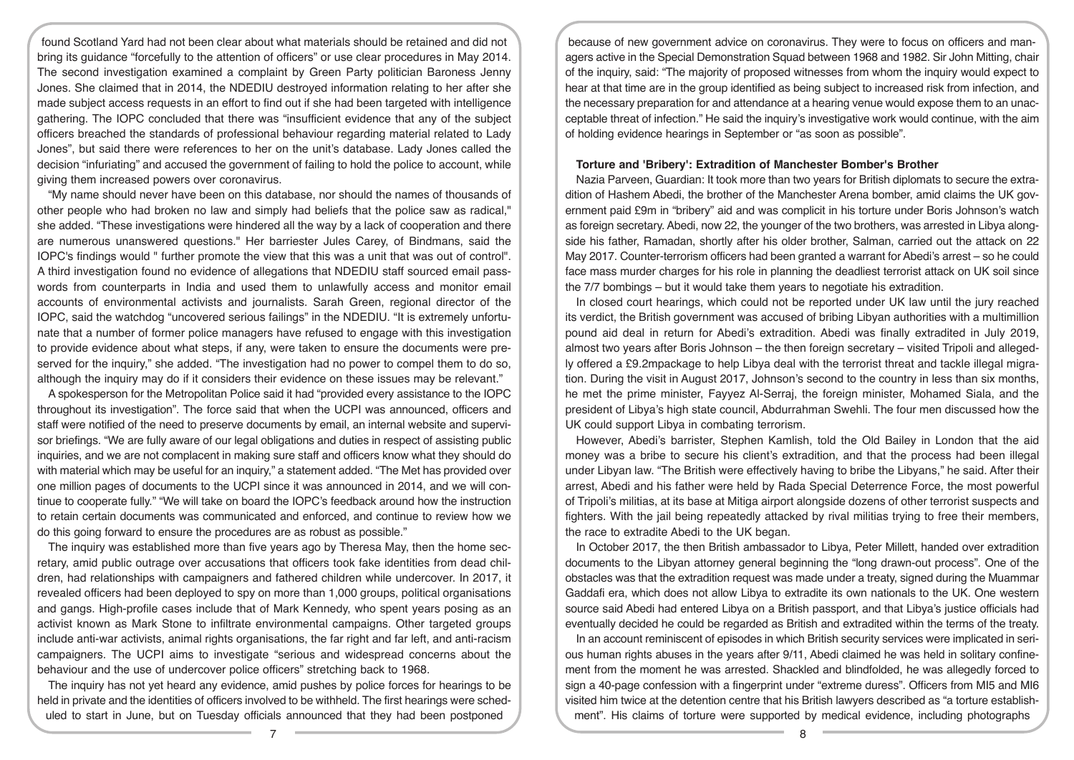found Scotland Yard had not been clear about what materials should be retained and did not bring its guidance "forcefully to the attention of officers" or use clear procedures in May 2014. The second investigation examined a complaint by Green Party politician Baroness Jenny Jones. She claimed that in 2014, the NDEDIU destroyed information relating to her after she made subject access requests in an effort to find out if she had been targeted with intelligence gathering. The IOPC concluded that there was "insufficient evidence that any of the subject officers breached the standards of professional behaviour regarding material related to Lady Jones", but said there were references to her on the unit's database. Lady Jones called the decision "infuriating" and accused the government of failing to hold the police to account, while giving them increased powers over coronavirus.

"My name should never have been on this database, nor should the names of thousands of other people who had broken no law and simply had beliefs that the police saw as radical," she added. "These investigations were hindered all the way by a lack of cooperation and there are numerous unanswered questions." Her barriester Jules Carey, of Bindmans, said the IOPC's findings would " further promote the view that this was a unit that was out of control". A third investigation found no evidence of allegations that NDEDIU staff sourced email passwords from counterparts in India and used them to unlawfully access and monitor email accounts of environmental activists and journalists. Sarah Green, regional director of the IOPC, said the watchdog "uncovered serious failings" in the NDEDIU. "It is extremely unfortunate that a number of former police managers have refused to engage with this investigation to provide evidence about what steps, if any, were taken to ensure the documents were preserved for the inquiry," she added. "The investigation had no power to compel them to do so, although the inquiry may do if it considers their evidence on these issues may be relevant."

A spokesperson for the Metropolitan Police said it had "provided every assistance to the IOPC throughout its investigation". The force said that when the UCPI was announced, officers and staff were notified of the need to preserve documents by email, an internal website and supervisor briefings. "We are fully aware of our legal obligations and duties in respect of assisting public inquiries, and we are not complacent in making sure staff and officers know what they should do with material which may be useful for an inquiry," a statement added. "The Met has provided over one million pages of documents to the UCPI since it was announced in 2014, and we will continue to cooperate fully." "We will take on board the IOPC's feedback around how the instruction to retain certain documents was communicated and enforced, and continue to review how we do this going forward to ensure the procedures are as robust as possible."

The inquiry was established more than five years ago by Theresa May, then the home secretary, amid public outrage over accusations that officers took fake identities from dead children, had relationships with campaigners and fathered children while undercover. In 2017, it revealed officers had been deployed to spy on more than 1,000 groups, political organisations and gangs. High-profile cases include that of Mark Kennedy, who spent years posing as an activist known as Mark Stone to infiltrate environmental campaigns. Other targeted groups include anti-war activists, animal rights organisations, the far right and far left, and anti-racism campaigners. The UCPI aims to investigate "serious and widespread concerns about the behaviour and the use of undercover police officers" stretching back to 1968.

The inquiry has not yet heard any evidence, amid pushes by police forces for hearings to be held in private and the identities of officers involved to be withheld. The first hearings were scheduled to start in June, but on Tuesday officials announced that they had been postponed

because of new government advice on coronavirus. They were to focus on officers and managers active in the Special Demonstration Squad between 1968 and 1982. Sir John Mitting, chair of the inquiry, said: "The majority of proposed witnesses from whom the inquiry would expect to hear at that time are in the group identified as being subject to increased risk from infection, and the necessary preparation for and attendance at a hearing venue would expose them to an unacceptable threat of infection." He said the inquiry's investigative work would continue, with the aim of holding evidence hearings in September or "as soon as possible".

## **Torture and 'Bribery': Extradition of Manchester Bomber's Brother**

Nazia Parveen, Guardian: It took more than two years for British diplomats to secure the extradition of Hashem Abedi, the brother of the Manchester Arena bomber, amid claims the UK government paid £9m in "bribery" aid and was complicit in his torture under Boris Johnson's watch as foreign secretary. Abedi, now 22, the younger of the two brothers, was arrested in Libya alongside his father, Ramadan, shortly after his older brother, Salman, carried out the attack on 22 May 2017. Counter-terrorism officers had been granted a warrant for Abedi's arrest – so he could face mass murder charges for his role in planning the deadliest terrorist attack on UK soil since the 7/7 bombings – but it would take them years to negotiate his extradition.

In closed court hearings, which could not be reported under UK law until the jury reached its verdict, the British government was accused of bribing Libyan authorities with a multimillion pound aid deal in return for Abedi's extradition. Abedi was finally extradited in July 2019, almost two years after Boris Johnson – the then foreign secretary – visited Tripoli and allegedly offered a £9.2mpackage to help Libya deal with the terrorist threat and tackle illegal migration. During the visit in August 2017, Johnson's second to the country in less than six months, he met the prime minister, Fayyez Al-Serraj, the foreign minister, Mohamed Siala, and the president of Libya's high state council, Abdurrahman Swehli. The four men discussed how the UK could support Libya in combating terrorism.

However, Abedi's barrister, Stephen Kamlish, told the Old Bailey in London that the aid money was a bribe to secure his client's extradition, and that the process had been illegal under Libyan law. "The British were effectively having to bribe the Libyans," he said. After their arrest, Abedi and his father were held by Rada Special Deterrence Force, the most powerful of Tripoli's militias, at its base at Mitiga airport alongside dozens of other terrorist suspects and fighters. With the jail being repeatedly attacked by rival militias trying to free their members, the race to extradite Abedi to the UK began.

In October 2017, the then British ambassador to Libya, Peter Millett, handed over extradition documents to the Libyan attorney general beginning the "long drawn-out process". One of the obstacles was that the extradition request was made under a treaty, signed during the Muammar Gaddafi era, which does not allow Libya to extradite its own nationals to the UK. One western source said Abedi had entered Libya on a British passport, and that Libya's justice officials had eventually decided he could be regarded as British and extradited within the terms of the treaty.

In an account reminiscent of episodes in which British security services were implicated in serious human rights abuses in the years after 9/11, Abedi claimed he was held in solitary confinement from the moment he was arrested. Shackled and blindfolded, he was allegedly forced to sign a 40-page confession with a fingerprint under "extreme duress". Officers from MI5 and MI6 visited him twice at the detention centre that his British lawyers described as "a torture establishment". His claims of torture were supported by medical evidence, including photographs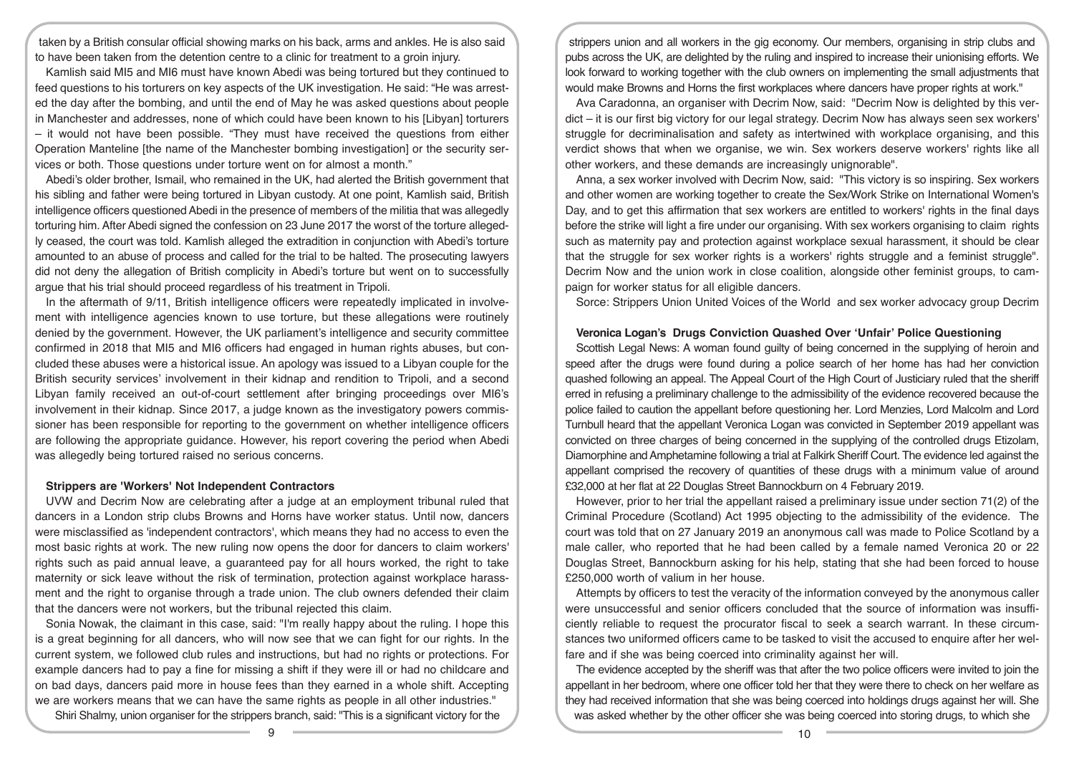taken by a British consular official showing marks on his back, arms and ankles. He is also said to have been taken from the detention centre to a clinic for treatment to a groin injury.

Kamlish said MI5 and MI6 must have known Abedi was being tortured but they continued to feed questions to his torturers on key aspects of the UK investigation. He said: "He was arrested the day after the bombing, and until the end of May he was asked questions about people in Manchester and addresses, none of which could have been known to his [Libyan] torturers – it would not have been possible. "They must have received the questions from either Operation Manteline [the name of the Manchester bombing investigation] or the security services or both. Those questions under torture went on for almost a month."

Abedi's older brother, Ismail, who remained in the UK, had alerted the British government that his sibling and father were being tortured in Libyan custody. At one point, Kamlish said, British intelligence officers questioned Abedi in the presence of members of the militia that was allegedly torturing him. After Abedi signed the confession on 23 June 2017 the worst of the torture allegedly ceased, the court was told. Kamlish alleged the extradition in conjunction with Abedi's torture amounted to an abuse of process and called for the trial to be halted. The prosecuting lawyers did not deny the allegation of British complicity in Abedi's torture but went on to successfully argue that his trial should proceed regardless of his treatment in Tripoli.

In the aftermath of 9/11, British intelligence officers were repeatedly implicated in involvement with intelligence agencies known to use torture, but these allegations were routinely denied by the government. However, the UK parliament's intelligence and security committee confirmed in 2018 that MI5 and MI6 officers had engaged in human rights abuses, but concluded these abuses were a historical issue. An apology was issued to a Libyan couple for the British security services' involvement in their kidnap and rendition to Tripoli, and a second Libyan family received an out-of-court settlement after bringing proceedings over MI6's involvement in their kidnap. Since 2017, a judge known as the investigatory powers commissioner has been responsible for reporting to the government on whether intelligence officers are following the appropriate guidance. However, his report covering the period when Abedi was allegedly being tortured raised no serious concerns.

## **Strippers are 'Workers' Not Independent Contractors**

UVW and Decrim Now are celebrating after a judge at an employment tribunal ruled that dancers in a London strip clubs Browns and Horns have worker status. Until now, dancers were misclassified as 'independent contractors', which means they had no access to even the most basic rights at work. The new ruling now opens the door for dancers to claim workers' rights such as paid annual leave, a guaranteed pay for all hours worked, the right to take maternity or sick leave without the risk of termination, protection against workplace harassment and the right to organise through a trade union. The club owners defended their claim that the dancers were not workers, but the tribunal rejected this claim.

Sonia Nowak, the claimant in this case, said: "I'm really happy about the ruling. I hope this is a great beginning for all dancers, who will now see that we can fight for our rights. In the current system, we followed club rules and instructions, but had no rights or protections. For example dancers had to pay a fine for missing a shift if they were ill or had no childcare and on bad days, dancers paid more in house fees than they earned in a whole shift. Accepting we are workers means that we can have the same rights as people in all other industries."

Shiri Shalmy, union organiser for the strippers branch, said: "This is a significant victory for the

strippers union and all workers in the gig economy. Our members, organising in strip clubs and pubs across the UK, are delighted by the ruling and inspired to increase their unionising efforts. We look forward to working together with the club owners on implementing the small adjustments that would make Browns and Horns the first workplaces where dancers have proper rights at work."

Ava Caradonna, an organiser with Decrim Now, said: "Decrim Now is delighted by this verdict – it is our first big victory for our legal strategy. Decrim Now has always seen sex workers' struggle for decriminalisation and safety as intertwined with workplace organising, and this verdict shows that when we organise, we win. Sex workers deserve workers' rights like all other workers, and these demands are increasingly unignorable".

Anna, a sex worker involved with Decrim Now, said: "This victory is so inspiring. Sex workers and other women are working together to create the Sex/Work Strike on International Women's Day, and to get this affirmation that sex workers are entitled to workers' rights in the final days before the strike will light a fire under our organising. With sex workers organising to claim rights such as maternity pay and protection against workplace sexual harassment, it should be clear that the struggle for sex worker rights is a workers' rights struggle and a feminist struggle". Decrim Now and the union work in close coalition, alongside other feminist groups, to campaign for worker status for all eligible dancers.

Sorce: Strippers Union United Voices of the World and sex worker advocacy group Decrim

## **Veronica Logan's Drugs Conviction Quashed Over 'Unfair' Police Questioning**

Scottish Legal News: A woman found guilty of being concerned in the supplying of heroin and speed after the drugs were found during a police search of her home has had her conviction quashed following an appeal. The Appeal Court of the High Court of Justiciary ruled that the sheriff erred in refusing a preliminary challenge to the admissibility of the evidence recovered because the police failed to caution the appellant before questioning her. Lord Menzies, Lord Malcolm and Lord Turnbull heard that the appellant Veronica Logan was convicted in September 2019 appellant was convicted on three charges of being concerned in the supplying of the controlled drugs Etizolam, Diamorphine and Amphetamine following a trial at Falkirk Sheriff Court. The evidence led against the appellant comprised the recovery of quantities of these drugs with a minimum value of around £32,000 at her flat at 22 Douglas Street Bannockburn on 4 February 2019.

However, prior to her trial the appellant raised a preliminary issue under section 71(2) of the Criminal Procedure (Scotland) Act 1995 objecting to the admissibility of the evidence. The court was told that on 27 January 2019 an anonymous call was made to Police Scotland by a male caller, who reported that he had been called by a female named Veronica 20 or 22 Douglas Street, Bannockburn asking for his help, stating that she had been forced to house £250,000 worth of valium in her house.

Attempts by officers to test the veracity of the information conveyed by the anonymous caller were unsuccessful and senior officers concluded that the source of information was insufficiently reliable to request the procurator fiscal to seek a search warrant. In these circumstances two uniformed officers came to be tasked to visit the accused to enquire after her welfare and if she was being coerced into criminality against her will.

The evidence accepted by the sheriff was that after the two police officers were invited to join the appellant in her bedroom, where one officer told her that they were there to check on her welfare as they had received information that she was being coerced into holdings drugs against her will. She was asked whether by the other officer she was being coerced into storing drugs, to which she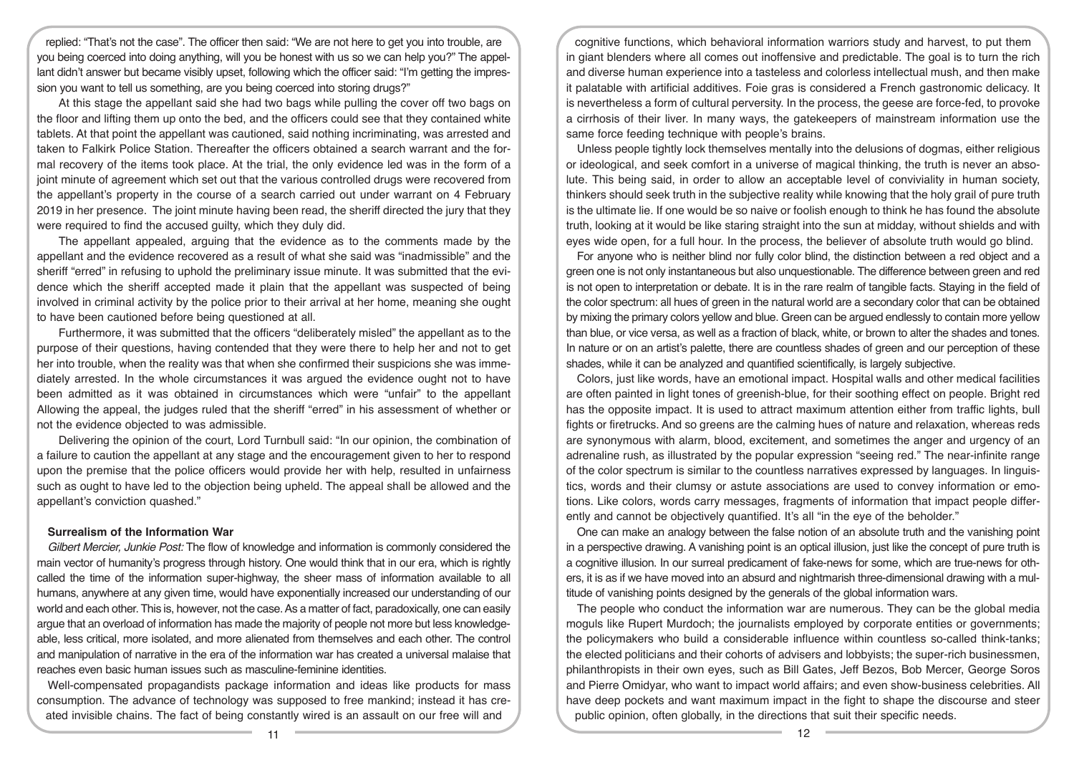replied: "That's not the case". The officer then said: "We are not here to get you into trouble, are you being coerced into doing anything, will you be honest with us so we can help you?" The appellant didn't answer but became visibly upset, following which the officer said: "I'm getting the impression you want to tell us something, are you being coerced into storing drugs?"

At this stage the appellant said she had two bags while pulling the cover off two bags on the floor and lifting them up onto the bed, and the officers could see that they contained white tablets. At that point the appellant was cautioned, said nothing incriminating, was arrested and taken to Falkirk Police Station. Thereafter the officers obtained a search warrant and the formal recovery of the items took place. At the trial, the only evidence led was in the form of a joint minute of agreement which set out that the various controlled drugs were recovered from the appellant's property in the course of a search carried out under warrant on 4 February 2019 in her presence. The joint minute having been read, the sheriff directed the jury that they were required to find the accused guilty, which they duly did.

The appellant appealed, arguing that the evidence as to the comments made by the appellant and the evidence recovered as a result of what she said was "inadmissible" and the sheriff "erred" in refusing to uphold the preliminary issue minute. It was submitted that the evidence which the sheriff accepted made it plain that the appellant was suspected of being involved in criminal activity by the police prior to their arrival at her home, meaning she ought to have been cautioned before being questioned at all.

Furthermore, it was submitted that the officers "deliberately misled" the appellant as to the purpose of their questions, having contended that they were there to help her and not to get her into trouble, when the reality was that when she confirmed their suspicions she was immediately arrested. In the whole circumstances it was argued the evidence ought not to have been admitted as it was obtained in circumstances which were "unfair" to the appellant Allowing the appeal, the judges ruled that the sheriff "erred" in his assessment of whether or not the evidence objected to was admissible.

Delivering the opinion of the court, Lord Turnbull said: "In our opinion, the combination of a failure to caution the appellant at any stage and the encouragement given to her to respond upon the premise that the police officers would provide her with help, resulted in unfairness such as ought to have led to the objection being upheld. The appeal shall be allowed and the appellant's conviction quashed."

## **Surrealism of the Information War**

*Gilbert Mercier, Junkie Post:* The flow of knowledge and information is commonly considered the main vector of humanity's progress through history. One would think that in our era, which is rightly called the time of the information super-highway, the sheer mass of information available to all humans, anywhere at any given time, would have exponentially increased our understanding of our world and each other. This is, however, not the case. As a matter of fact, paradoxically, one can easily argue that an overload of information has made the majority of people not more but less knowledgeable, less critical, more isolated, and more alienated from themselves and each other. The control and manipulation of narrative in the era of the information war has created a universal malaise that reaches even basic human issues such as masculine-feminine identities.

Well-compensated propagandists package information and ideas like products for mass consumption. The advance of technology was supposed to free mankind; instead it has created invisible chains. The fact of being constantly wired is an assault on our free will and

cognitive functions, which behavioral information warriors study and harvest, to put them in giant blenders where all comes out inoffensive and predictable. The goal is to turn the rich and diverse human experience into a tasteless and colorless intellectual mush, and then make it palatable with artificial additives. Foie gras is considered a French gastronomic delicacy. It is nevertheless a form of cultural perversity. In the process, the geese are force-fed, to provoke a cirrhosis of their liver. In many ways, the gatekeepers of mainstream information use the same force feeding technique with people's brains.

Unless people tightly lock themselves mentally into the delusions of dogmas, either religious or ideological, and seek comfort in a universe of magical thinking, the truth is never an absolute. This being said, in order to allow an acceptable level of conviviality in human society, thinkers should seek truth in the subjective reality while knowing that the holy grail of pure truth is the ultimate lie. If one would be so naive or foolish enough to think he has found the absolute truth, looking at it would be like staring straight into the sun at midday, without shields and with eyes wide open, for a full hour. In the process, the believer of absolute truth would go blind.

For anyone who is neither blind nor fully color blind, the distinction between a red object and a green one is not only instantaneous but also unquestionable. The difference between green and red is not open to interpretation or debate. It is in the rare realm of tangible facts. Staying in the field of the color spectrum: all hues of green in the natural world are a secondary color that can be obtained by mixing the primary colors yellow and blue. Green can be argued endlessly to contain more yellow than blue, or vice versa, as well as a fraction of black, white, or brown to alter the shades and tones. In nature or on an artist's palette, there are countless shades of green and our perception of these shades, while it can be analyzed and quantified scientifically, is largely subjective.

Colors, just like words, have an emotional impact. Hospital walls and other medical facilities are often painted in light tones of greenish-blue, for their soothing effect on people. Bright red has the opposite impact. It is used to attract maximum attention either from traffic lights, bull fights or firetrucks. And so greens are the calming hues of nature and relaxation, whereas reds are synonymous with alarm, blood, excitement, and sometimes the anger and urgency of an adrenaline rush, as illustrated by the popular expression "seeing red." The near-infinite range of the color spectrum is similar to the countless narratives expressed by languages. In linguistics, words and their clumsy or astute associations are used to convey information or emotions. Like colors, words carry messages, fragments of information that impact people differently and cannot be objectively quantified. It's all "in the eye of the beholder."

One can make an analogy between the false notion of an absolute truth and the vanishing point in a perspective drawing. A vanishing point is an optical illusion, just like the concept of pure truth is a cognitive illusion. In our surreal predicament of fake-news for some, which are true-news for others, it is as if we have moved into an absurd and nightmarish three-dimensional drawing with a multitude of vanishing points designed by the generals of the global information wars.

The people who conduct the information war are numerous. They can be the global media moguls like Rupert Murdoch; the journalists employed by corporate entities or governments; the policymakers who build a considerable influence within countless so-called think-tanks; the elected politicians and their cohorts of advisers and lobbyists; the super-rich businessmen, philanthropists in their own eyes, such as Bill Gates, Jeff Bezos, Bob Mercer, George Soros and Pierre Omidyar, who want to impact world affairs; and even show-business celebrities. All have deep pockets and want maximum impact in the fight to shape the discourse and steer public opinion, often globally, in the directions that suit their specific needs.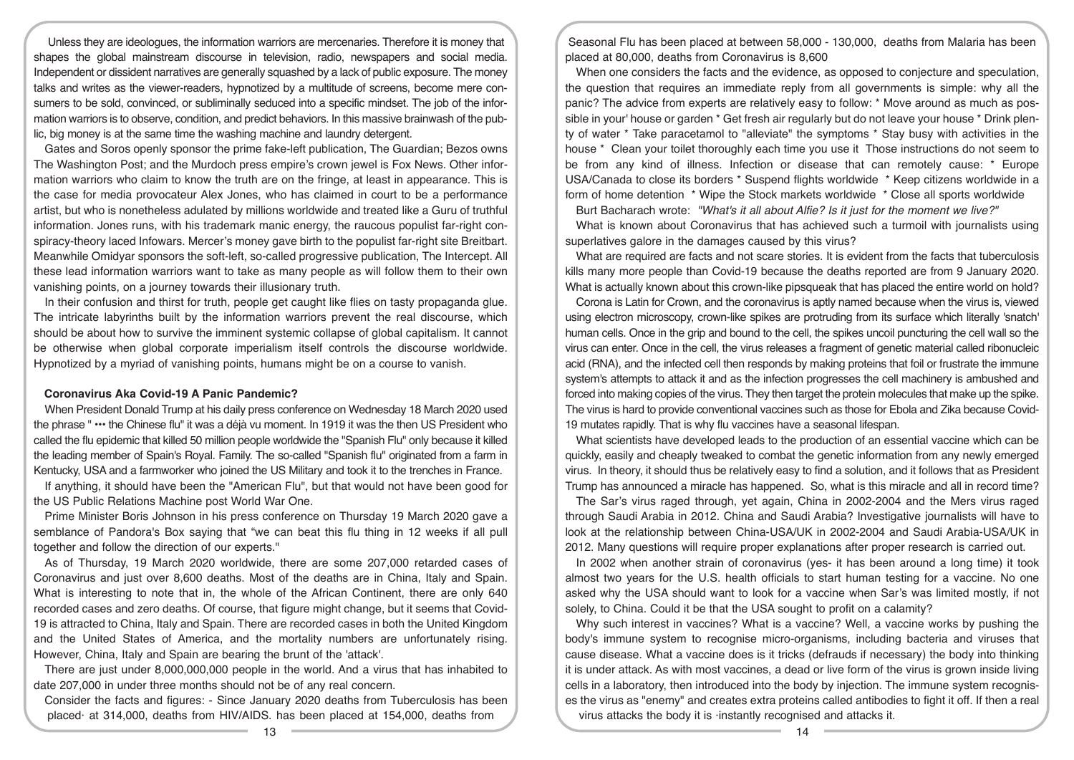Unless they are ideologues, the information warriors are mercenaries. Therefore it is money that shapes the global mainstream discourse in television, radio, newspapers and social media. Independent or dissident narratives are generally squashed by a lack of public exposure. The money talks and writes as the viewer-readers, hypnotized by a multitude of screens, become mere consumers to be sold, convinced, or subliminally seduced into a specific mindset. The job of the information warriors is to observe, condition, and predict behaviors. In this massive brainwash of the public, big money is at the same time the washing machine and laundry detergent.

Gates and Soros openly sponsor the prime fake-left publication, The Guardian; Bezos owns The Washington Post; and the Murdoch press empire's crown jewel is Fox News. Other information warriors who claim to know the truth are on the fringe, at least in appearance. This is the case for media provocateur Alex Jones, who has claimed in court to be a performance artist, but who is nonetheless adulated by millions worldwide and treated like a Guru of truthful information. Jones runs, with his trademark manic energy, the raucous populist far-right conspiracy-theory laced Infowars. Mercer's money gave birth to the populist far-right site Breitbart. Meanwhile Omidyar sponsors the soft-left, so-called progressive publication, The Intercept. All these lead information warriors want to take as many people as will follow them to their own vanishing points, on a journey towards their illusionary truth.

In their confusion and thirst for truth, people get caught like flies on tasty propaganda glue. The intricate labyrinths built by the information warriors prevent the real discourse, which should be about how to survive the imminent systemic collapse of global capitalism. It cannot be otherwise when global corporate imperialism itself controls the discourse worldwide. Hypnotized by a myriad of vanishing points, humans might be on a course to vanish.

## **Coronavirus Aka Covid-19 A Panic Pandemic?**

When President Donald Trump at his daily press conference on Wednesday 18 March 2020 used the phrase " ••• the Chinese flu" it was a déjà vu moment. In 1919 it was the then US President who called the flu epidemic that killed 50 million people worldwide the "Spanish Flu" only because it killed the leading member of Spain's Royal. Family. The so-called "Spanish flu" originated from a farm in Kentucky, USA and a farmworker who joined the US Military and took it to the trenches in France.

If anything, it should have been the "American Flu", but that would not have been good for the US Public Relations Machine post World War One.

Prime Minister Boris Johnson in his press conference on Thursday 19 March 2020 gave a semblance of Pandora's Box saying that "we can beat this flu thing in 12 weeks if all pull together and follow the direction of our experts."

As of Thursday, 19 March 2020 worldwide, there are some 207,000 retarded cases of Coronavirus and just over 8,600 deaths. Most of the deaths are in China, Italy and Spain. What is interesting to note that in, the whole of the African Continent, there are only 640 recorded cases and zero deaths. Of course, that figure might change, but it seems that Covid-19 is attracted to China, Italy and Spain. There are recorded cases in both the United Kingdom and the United States of America, and the mortality numbers are unfortunately rising. However, China, Italy and Spain are bearing the brunt of the 'attack'.

There are just under 8,000,000,000 people in the world. And a virus that has inhabited to date 207,000 in under three months should not be of any real concern.

Consider the facts and figures: - Since January 2020 deaths from Tuberculosis has been placed· at 314,000, deaths from HIV/AIDS. has been placed at 154,000, deaths from

Seasonal Flu has been placed at between 58,000 - 130,000, deaths from Malaria has been placed at 80,000, deaths from Coronavirus is 8,600

When one considers the facts and the evidence, as opposed to conjecture and speculation, the question that requires an immediate reply from all governments is simple: why all the panic? The advice from experts are relatively easy to follow: \* Move around as much as possible in your' house or garden \* Get fresh air regularly but do not leave your house \* Drink plenty of water \* Take paracetamol to "alleviate" the symptoms \* Stay busy with activities in the house \* Clean your toilet thoroughly each time you use it Those instructions do not seem to be from any kind of illness. Infection or disease that can remotely cause: \* Europe USA/Canada to close its borders \* Suspend flights worldwide \* Keep citizens worldwide in a form of home detention \* Wipe the Stock markets worldwide \* Close all sports worldwide

Burt Bacharach wrote: *"What's it all about Alfie? Is it just for the moment we live?"* 

What is known about Coronavirus that has achieved such a turmoil with journalists using superlatives galore in the damages caused by this virus?

What are required are facts and not scare stories. It is evident from the facts that tuberculosis kills many more people than Covid-19 because the deaths reported are from 9 January 2020. What is actually known about this crown-like pipsqueak that has placed the entire world on hold?

Corona is Latin for Crown, and the coronavirus is aptly named because when the virus is, viewed using electron microscopy, crown-like spikes are protruding from its surface which literally 'snatch' human cells. Once in the grip and bound to the cell, the spikes uncoil puncturing the cell wall so the virus can enter. Once in the cell, the virus releases a fragment of genetic material called ribonucleic acid (RNA), and the infected cell then responds by making proteins that foil or frustrate the immune system's attempts to attack it and as the infection progresses the cell machinery is ambushed and forced into making copies of the virus. They then target the protein molecules that make up the spike. The virus is hard to provide conventional vaccines such as those for Ebola and Zika because Covid-19 mutates rapidly. That is why flu vaccines have a seasonal lifespan.

What scientists have developed leads to the production of an essential vaccine which can be quickly, easily and cheaply tweaked to combat the genetic information from any newly emerged virus. In theory, it should thus be relatively easy to find a solution, and it follows that as President Trump has announced a miracle has happened. So, what is this miracle and all in record time?

The Sar's virus raged through, yet again, China in 2002-2004 and the Mers virus raged through Saudi Arabia in 2012. China and Saudi Arabia? Investigative journalists will have to look at the relationship between China-USA/UK in 2002-2004 and Saudi Arabia-USA/UK in 2012. Many questions will require proper explanations after proper research is carried out.

In 2002 when another strain of coronavirus (yes- it has been around a long time) it took almost two years for the U.S. health officials to start human testing for a vaccine. No one asked why the USA should want to look for a vaccine when Sar's was limited mostly, if not solely, to China. Could it be that the USA sought to profit on a calamity?

Why such interest in vaccines? What is a vaccine? Well, a vaccine works by pushing the body's immune system to recognise micro-organisms, including bacteria and viruses that cause disease. What a vaccine does is it tricks (defrauds if necessary) the body into thinking it is under attack. As with most vaccines, a dead or live form of the virus is grown inside living cells in a laboratory, then introduced into the body by injection. The immune system recognises the virus as "enemy" and creates extra proteins called antibodies to fight it off. If then a real virus attacks the body it is ·instantly recognised and attacks it.